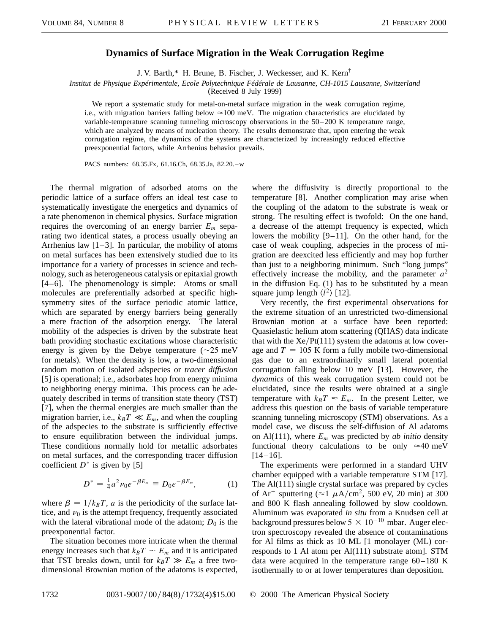## **Dynamics of Surface Migration in the Weak Corrugation Regime**

J. V. Barth,\* H. Brune, B. Fischer, J. Weckesser, and K. Kern†

*Institut de Physique Expérimentale, Ecole Polytechnique Fédérale de Lausanne, CH-1015 Lausanne, Switzerland*

(Received 8 July 1999)

We report a systematic study for metal-on-metal surface migration in the weak corrugation regime, i.e., with migration barriers falling below  $\approx 100$  meV. The migration characteristics are elucidated by variable-temperature scanning tunneling microscopy observations in the 50–200 K temperature range, which are analyzed by means of nucleation theory. The results demonstrate that, upon entering the weak corrugation regime, the dynamics of the systems are characterized by increasingly reduced effective preexponential factors, while Arrhenius behavior prevails.

PACS numbers: 68.35.Fx, 61.16.Ch, 68.35.Ja, 82.20.–w

The thermal migration of adsorbed atoms on the periodic lattice of a surface offers an ideal test case to systematically investigate the energetics and dynamics of a rate phenomenon in chemical physics. Surface migration requires the overcoming of an energy barrier *Em* separating two identical states, a process usually obeying an Arrhenius law  $[1-3]$ . In particular, the mobility of atoms on metal surfaces has been extensively studied due to its importance for a variety of processes in science and technology, such as heterogeneous catalysis or epitaxial growth [4–6]. The phenomenology is simple: Atoms or small molecules are preferentially adsorbed at specific highsymmetry sites of the surface periodic atomic lattice, which are separated by energy barriers being generally a mere fraction of the adsorption energy. The lateral mobility of the adspecies is driven by the substrate heat bath providing stochastic excitations whose characteristic energy is given by the Debye temperature  $(\sim 25 \text{ meV})$ for metals). When the density is low, a two-dimensional random motion of isolated adspecies or *tracer diffusion* [5] is operational; i.e., adsorbates hop from energy minima to neighboring energy minima. This process can be adequately described in terms of transition state theory (TST) [7], when the thermal energies are much smaller than the migration barrier, i.e.,  $k_B T \ll E_m$ , and when the coupling of the adspecies to the substrate is sufficiently effective to ensure equilibration between the individual jumps. These conditions normally hold for metallic adsorbates on metal surfaces, and the corresponding tracer diffusion coefficient  $D^*$  is given by [5]

$$
D^* = \frac{1}{4}a^2\nu_0 e^{-\beta E_m} \equiv D_0 e^{-\beta E_m}, \qquad (1)
$$

where  $\beta = 1/k_B T$ , *a* is the periodicity of the surface lattice, and  $\nu_0$  is the attempt frequency, frequently associated with the lateral vibrational mode of the adatom;  $D_0$  is the preexponential factor.

The situation becomes more intricate when the thermal energy increases such that  $k_B T \sim E_m$  and it is anticipated that TST breaks down, until for  $k_B T \gg E_m$  a free twodimensional Brownian motion of the adatoms is expected, where the diffusivity is directly proportional to the temperature [8]. Another complication may arise when the coupling of the adatom to the substrate is weak or strong. The resulting effect is twofold: On the one hand, a decrease of the attempt frequency is expected, which lowers the mobility [9–11]. On the other hand, for the case of weak coupling, adspecies in the process of migration are deexcited less efficiently and may hop further than just to a neighboring minimum. Such "long jumps" effectively increase the mobility, and the parameter  $a^2$ in the diffusion Eq. (1) has to be substituted by a mean square jump length  $\langle l^2 \rangle$  [12].

Very recently, the first experimental observations for the extreme situation of an unrestricted two-dimensional Brownian motion at a surface have been reported: Quasielastic helium atom scattering (QHAS) data indicate that with the  $Xe/Pt(111)$  system the adatoms at low coverage and  $T = 105$  K form a fully mobile two-dimensional gas due to an extraordinarily small lateral potential corrugation falling below 10 meV [13]. However, the *dynamics* of this weak corrugation system could not be elucidated, since the results were obtained at a single temperature with  $k_B T \approx E_m$ . In the present Letter, we address this question on the basis of variable temperature scanning tunneling microscopy (STM) observations. As a model case, we discuss the self-diffusion of Al adatoms on Al(111), where  $E_m$  was predicted by *ab initio* density functional theory calculations to be only  $\approx 40$  meV  $[14–16]$ .

The experiments were performed in a standard UHV chamber equipped with a variable temperature STM [17]. The Al(111) single crystal surface was prepared by cycles of Ar<sup>+</sup> sputtering ( $\approx$ 1  $\mu$ A/cm<sup>2</sup>, 500 eV, 20 min) at 300 and 800 K flash annealing followed by slow cooldown. Aluminum was evaporated *in situ* from a Knudsen cell at background pressures below  $5 \times 10^{-10}$  mbar. Auger electron spectroscopy revealed the absence of contaminations for Al films as thick as 10 ML [1 monolayer (ML) corresponds to 1 Al atom per Al(111) substrate atom]. STM data were acquired in the temperature range 60–180 K isothermally to or at lower temperatures than deposition.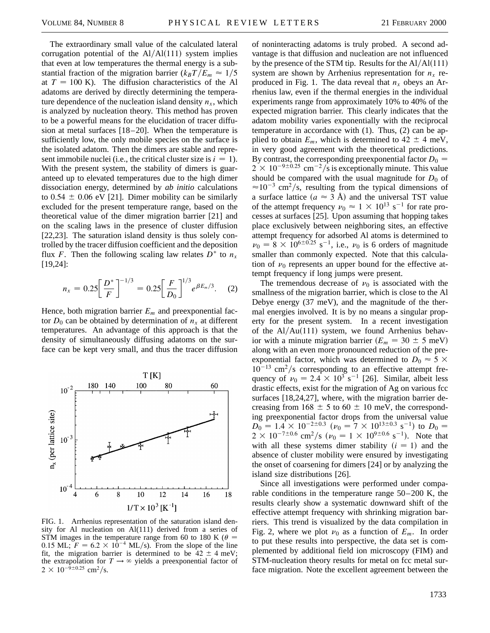The extraordinary small value of the calculated lateral corrugation potential of the  $Al/AI(111)$  system implies that even at low temperatures the thermal energy is a substantial fraction of the migration barrier  $(k_B T/E_m \approx 1/5$ at  $T = 100$  K). The diffusion characteristics of the Al adatoms are derived by directly determining the temperature dependence of the nucleation island density  $n_x$ , which is analyzed by nucleation theory. This method has proven to be a powerful means for the elucidation of tracer diffusion at metal surfaces [18–20]. When the temperature is sufficiently low, the only mobile species on the surface is the isolated adatom. Then the dimers are stable and represent immobile nuclei (i.e., the critical cluster size is  $i = 1$ ). With the present system, the stability of dimers is guaranteed up to elevated temperatures due to the high dimer dissociation energy, determined by *ab initio* calculations to 0.54  $\pm$  0.06 eV [21]. Dimer mobility can be similarly excluded for the present temperature range, based on the theoretical value of the dimer migration barrier [21] and on the scaling laws in the presence of cluster diffusion [22,23]. The saturation island density is thus solely controlled by the tracer diffusion coefficient and the deposition flux *F*. Then the following scaling law relates  $D^*$  to  $n_x$ [19,24]:

$$
n_x = 0.25 \left[ \frac{D^*}{F} \right]^{-1/3} = 0.25 \left[ \frac{F}{D_0} \right]^{1/3} e^{\beta E_m/3}.
$$
 (2)

Hence, both migration barrier  $E_m$  and preexponential factor  $D_0$  can be obtained by determination of  $n_x$  at different temperatures. An advantage of this approach is that the density of simultaneously diffusing adatoms on the surface can be kept very small, and thus the tracer diffusion



FIG. 1. Arrhenius representation of the saturation island density for Al nucleation on Al(111) derived from a series of STM images in the temperature range from 60 to 180 K ( $\theta$  = 0.15 ML;  $F = 6.2 \times 10^{-4}$  ML/s). From the slope of the line fit, the migration barrier is determined to be  $42 \pm 4$  meV; the extrapolation for  $T \rightarrow \infty$  yields a preexponential factor of  $2 \times 10^{-9 \pm 0.25}$  cm<sup>2</sup>/s.

of noninteracting adatoms is truly probed. A second advantage is that diffusion and nucleation are not influenced by the presence of the STM tip. Results for the  $Al/Al(111)$ system are shown by Arrhenius representation for  $n_x$  reproduced in Fig. 1. The data reveal that  $n_x$  obeys an Arrhenius law, even if the thermal energies in the individual experiments range from approximately 10% to 40% of the expected migration barrier. This clearly indicates that the adatom mobility varies exponentially with the reciprocal temperature in accordance with (1). Thus, (2) can be applied to obtain  $E_m$ , which is determined to 42  $\pm$  4 meV, in very good agreement with the theoretical predictions. By contrast, the corresponding preexponential factor  $D_0 =$  $2 \times 10^{-9 \pm 0.25}$  cm<sup>-2</sup>/s is exceptionally minute. This value should be compared with the usual magnitude for  $D_0$  of  $\approx 10^{-3}$  cm<sup>2</sup>/s, resulting from the typical dimensions of a surface lattice  $(a \approx 3 \text{ Å})$  and the universal TST value of the attempt frequency  $\nu_0 \approx 1 \times 10^{13} \text{ s}^{-1}$  for rate processes at surfaces [25]. Upon assuming that hopping takes place exclusively between neighboring sites, an effective attempt frequency for adsorbed Al atoms is determined to  $\nu_0 = 8 \times 10^{6 \pm 0.25} \text{ s}^{-1}$ , i.e.,  $\nu_0$  is 6 orders of magnitude smaller than commonly expected. Note that this calculation of  $\nu_0$  represents an upper bound for the effective attempt frequency if long jumps were present.

The tremendous decrease of  $\nu_0$  is associated with the smallness of the migration barrier, which is close to the Al Debye energy (37 meV), and the magnitude of the thermal energies involved. It is by no means a singular property for the present system. In a recent investigation of the  $Al/Au(111)$  system, we found Arrhenius behavior with a minute migration barrier  $(E_m = 30 \pm 5 \text{ meV})$ along with an even more pronounced reduction of the preexponential factor, which was determined to  $D_0 \approx 5 \times$  $10^{-13}$  cm<sup>2</sup>/s corresponding to an effective attempt frequency of  $\nu_0 = 2.4 \times 10^3$  s<sup>-1</sup> [26]. Similar, albeit less drastic effects, exist for the migration of Ag on various fcc surfaces [18,24,27], where, with the migration barrier decreasing from  $168 \pm 5$  to  $60 \pm 10$  meV, the corresponding preexponential factor drops from the universal value  $D_0 = 1.4 \times 10^{-2 \pm 0.3}$  ( $\nu_0 = 7 \times 10^{13 \pm 0.3}$  s<sup>-1</sup>) to  $D_0 =$  $2 \times 10^{-7\pm0.6}$  cm<sup>2</sup>/s ( $\nu_0 = 1 \times 10^{9\pm0.6}$  s<sup>-1</sup>). Note that with all these systems dimer stability  $(i = 1)$  and the absence of cluster mobility were ensured by investigating the onset of coarsening for dimers [24] or by analyzing the island size distributions [26].

Since all investigations were performed under comparable conditions in the temperature range 50–200 K, the results clearly show a systematic downward shift of the effective attempt frequency with shrinking migration barriers. This trend is visualized by the data compilation in Fig. 2, where we plot  $\nu_0$  as a function of  $E_m$ . In order to put these results into perspective, the data set is complemented by additional field ion microscopy (FIM) and STM-nucleation theory results for metal on fcc metal surface migration. Note the excellent agreement between the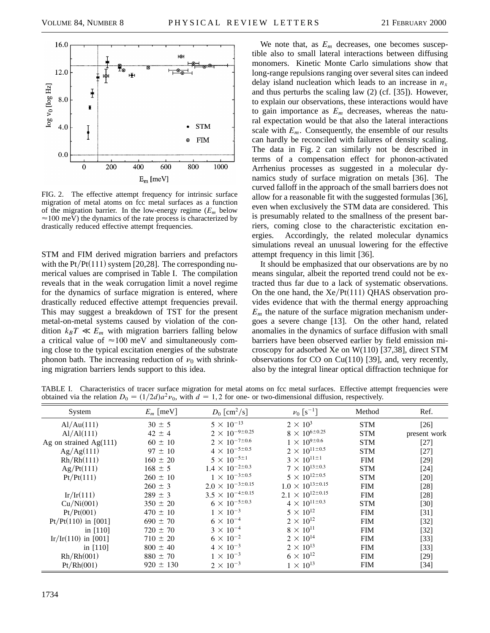

FIG. 2. The effective attempt frequency for intrinsic surface migration of metal atoms on fcc metal surfaces as a function of the migration barrier. In the low-energy regime (*Em* below  $\approx$  100 meV) the dynamics of the rate process is characterized by drastically reduced effective attempt frequencies.

STM and FIM derived migration barriers and prefactors with the  $Pt/Pt(111)$  system [20,28]. The corresponding numerical values are comprised in Table I. The compilation reveals that in the weak corrugation limit a novel regime for the dynamics of surface migration is entered, where drastically reduced effective attempt frequencies prevail. This may suggest a breakdown of TST for the present metal-on-metal systems caused by violation of the condition  $k_B T \ll E_m$  with migration barriers falling below a critical value of  $\approx$ 100 meV and simultaneously coming close to the typical excitation energies of the substrate phonon bath. The increasing reduction of  $\nu_0$  with shrinking migration barriers lends support to this idea.

We note that, as  $E_m$  decreases, one becomes susceptible also to small lateral interactions between diffusing monomers. Kinetic Monte Carlo simulations show that long-range repulsions ranging over several sites can indeed delay island nucleation which leads to an increase in  $n<sub>x</sub>$ and thus perturbs the scaling law (2) (cf. [35]). However, to explain our observations, these interactions would have to gain importance as  $E_m$  decreases, whereas the natural expectation would be that also the lateral interactions scale with  $E_m$ . Consequently, the ensemble of our results can hardly be reconciled with failures of density scaling. The data in Fig. 2 can similarly not be described in terms of a compensation effect for phonon-activated Arrhenius processes as suggested in a molecular dynamics study of surface migration on metals [36]. The curved falloff in the approach of the small barriers does not allow for a reasonable fit with the suggested formulas [36], even when exclusively the STM data are considered. This is presumably related to the smallness of the present barriers, coming close to the characteristic excitation energies. Accordingly, the related molecular dynamics simulations reveal an unusual lowering for the effective attempt frequency in this limit [36].

It should be emphasized that our observations are by no means singular, albeit the reported trend could not be extracted thus far due to a lack of systematic observations. On the one hand, the  $Xe/Pt(111)$  QHAS observation provides evidence that with the thermal energy approaching  $E_m$  the nature of the surface migration mechanism undergoes a severe change [13]. On the other hand, related anomalies in the dynamics of surface diffusion with small barriers have been observed earlier by field emission microscopy for adsorbed Xe on W(110) [37,38], direct STM observations for CO on Cu(110) [39], and, very recently, also by the integral linear optical diffraction technique for

TABLE I. Characteristics of tracer surface migration for metal atoms on fcc metal surfaces. Effective attempt frequencies were obtained via the relation  $D_0 = (1/2d)a^2v_0$ , with  $d = 1, 2$  for one- or two-dimensional diffusion, respectively.

| System                   | $E_m$ [meV]   | $D_0$ [cm <sup>2</sup> /s]    | $\nu_0$ [s <sup>-1</sup> ]    | Method     | Ref.              |
|--------------------------|---------------|-------------------------------|-------------------------------|------------|-------------------|
| Al/Au(111)               | $30 \pm 5$    | $5 \times 10^{-13}$           | $2 \times 10^3$               | <b>STM</b> | $[26]$            |
| Al/Al(111)               | $42 \pm 4$    | $2 \times 10^{-9 \pm 0.25}$   | $8 \times 10^{6 \pm 0.25}$    | <b>STM</b> | present work      |
| Ag on strained $Ag(111)$ | $60 \pm 10$   | $2 \times 10^{-7 \pm 0.6}$    | $1 \times 10^{9 \pm 0.6}$     | <b>STM</b> | $[27]$            |
| Ag/Ag(111)               | $97 \pm 10$   | $4 \times 10^{-5 \pm 0.5}$    | $2 \times 10^{11 \pm 0.5}$    | <b>STM</b> | $[27]$            |
| Rh/Rh(111)               | $160 \pm 20$  | $5 \times 10^{-5 \pm 1}$      | $3 \times 10^{11 \pm 1}$      | <b>FIM</b> | $[29]$            |
| Ag/Pt(111)               | $168 \pm 5$   | $1.4 \times 10^{-2 \pm 0.3}$  | $7 \times 10^{13 \pm 0.3}$    | <b>STM</b> | $[24]$            |
| Pt/Pt(111)               | $260 \pm 10$  | $1 \times 10^{-3 \pm 0.5}$    | $5 \times 10^{12 \pm 0.5}$    | <b>STM</b> | $[20]$            |
|                          | $260 \pm 3$   | $2.0 \times 10^{-3 \pm 0.15}$ | $1.0 \times 10^{13 \pm 0.15}$ | <b>FIM</b> | $[28]$            |
| Ir/Ir(111)               | $289 \pm 3$   | $3.5 \times 10^{-4 \pm 0.15}$ | $2.1 \times 10^{12 \pm 0.15}$ | <b>FIM</b> | $[28]$            |
| Cu/Ni(001)               | $350 \pm 20$  | $6 \times 10^{-5 \pm 0.3}$    | $4 \times 10^{11 \pm 0.3}$    | <b>STM</b> | $[30]$            |
| Pt/Pt(001)               | $470 \pm 10$  | $1 \times 10^{-3}$            | $5 \times 10^{12}$            | <b>FIM</b> | $[31]$            |
| $Pt/Pt(110)$ in [001]    | $690 \pm 70$  | $6 \times 10^{-4}$            | $2 \times 10^{12}$            | <b>FIM</b> | $\left[32\right]$ |
| in $[110]$               | $720 \pm 70$  | $3 \times 10^{-4}$            | $8 \times 10^{11}$            | <b>FIM</b> | $\left[32\right]$ |
| Ir/Ir(110) in [001]      | $710 \pm 20$  | $6 \times 10^{-2}$            | $2 \times 10^{14}$            | <b>FIM</b> | $\left[33\right]$ |
| in $[110]$               | $800 \pm 40$  | $4 \times 10^{-3}$            | $2 \times 10^{13}$            | <b>FIM</b> | $\left[33\right]$ |
| Rh/Rh(001)               | $880 \pm 70$  | $1 \times 10^{-3}$            | $6 \times 10^{12}$            | <b>FIM</b> | [29]              |
| Pt/Rh(001)               | $920 \pm 130$ | $2 \times 10^{-3}$            | $1 \times 10^{13}$            | <b>FIM</b> | [34]              |